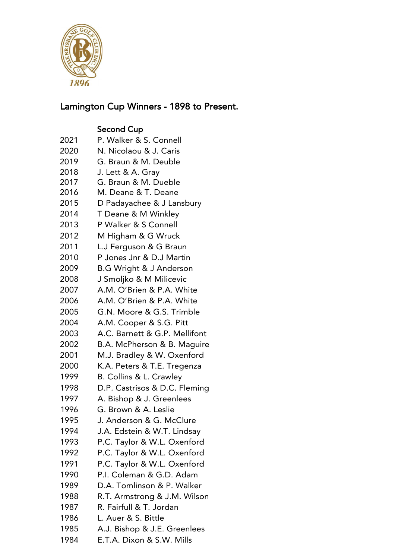

## Lamington Cup Winners - 1898 to Present.

## Second Cup

- P. Walker & S. Connell
- N. Nicolaou & J. Caris
- G. Braun & M. Deuble
- J. Lett & A. Gray
- G. Braun & M. Dueble
- M. Deane & T. Deane
- D Padayachee & J Lansbury
- T Deane & M Winkley
- P Walker & S Connell
- M Higham & G Wruck
- L.J Ferguson & G Braun
- P Jones Jnr & D.J Martin
- B.G Wright & J Anderson
- J Smoljko & M Milicevic
- A.M. O'Brien & P.A. White
- A.M. O'Brien & P.A. White
- G.N. Moore & G.S. Trimble
- A.M. Cooper & S.G. Pitt
- A.C. Barnett & G.P. Mellifont
- B.A. McPherson & B. Maguire
- M.J. Bradley & W. Oxenford
- K.A. Peters & T.E. Tregenza
- B. Collins & L. Crawley
- D.P. Castrisos & D.C. Fleming
- A. Bishop & J. Greenlees
- G. Brown & A. Leslie
- J. Anderson & G. McClure
- J.A. Edstein & W.T. Lindsay
- P.C. Taylor & W.L. Oxenford
- P.C. Taylor & W.L. Oxenford
- P.C. Taylor & W.L. Oxenford
- P.I. Coleman & G.D. Adam
- D.A. Tomlinson & P. Walker
- R.T. Armstrong & J.M. Wilson
- R. Fairfull & T. Jordan
- L. Auer & S. Bittle
- A.J. Bishop & J.E. Greenlees
- E.T.A. Dixon & S.W. Mills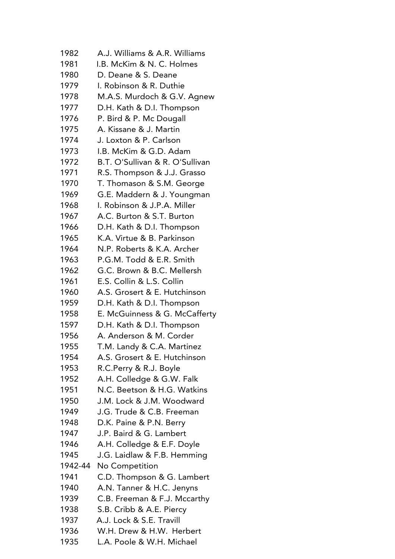A.J. Williams & A.R. Williams I.B. McKim & N. C. Holmes D. Deane & S. Deane I. Robinson & R. Duthie M.A.S. Murdoch & G.V. Agnew D.H. Kath & D.I. Thompson P. Bird & P. Mc Dougall A. Kissane & J. Martin J. Loxton & P. Carlson I.B. McKim & G.D. Adam B.T. O'Sullivan & R. O'Sullivan R.S. Thompson & J.J. Grasso T. Thomason & S.M. George G.E. Maddern & J. Youngman I. Robinson & J.P.A. Miller A.C. Burton & S.T. Burton D.H. Kath & D.I. Thompson K.A. Virtue & B. Parkinson N.P. Roberts & K.A. Archer P.G.M. Todd & E.R. Smith G.C. Brown & B.C. Mellersh E.S. Collin & L.S. Collin A.S. Grosert & E. Hutchinson D.H. Kath & D.I. Thompson E. McGuinness & G. McCafferty D.H. Kath & D.I. Thompson A. Anderson & M. Corder T.M. Landy & C.A. Martinez A.S. Grosert & E. Hutchinson R.C.Perry & R.J. Boyle A.H. Colledge & G.W. Falk N.C. Beetson & H.G. Watkins J.M. Lock & J.M. Woodward J.G. Trude & C.B. Freeman D.K. Paine & P.N. Berry J.P. Baird & G. Lambert A.H. Colledge & E.F. Doyle J.G. Laidlaw & F.B. Hemming 1942-44 No Competition C.D. Thompson & G. Lambert A.N. Tanner & H.C. Jenyns C.B. Freeman & F.J. Mccarthy S.B. Cribb & A.E. Piercy A.J. Lock & S.E. Travill W.H. Drew & H.W. Herbert L.A. Poole & W.H. Michael